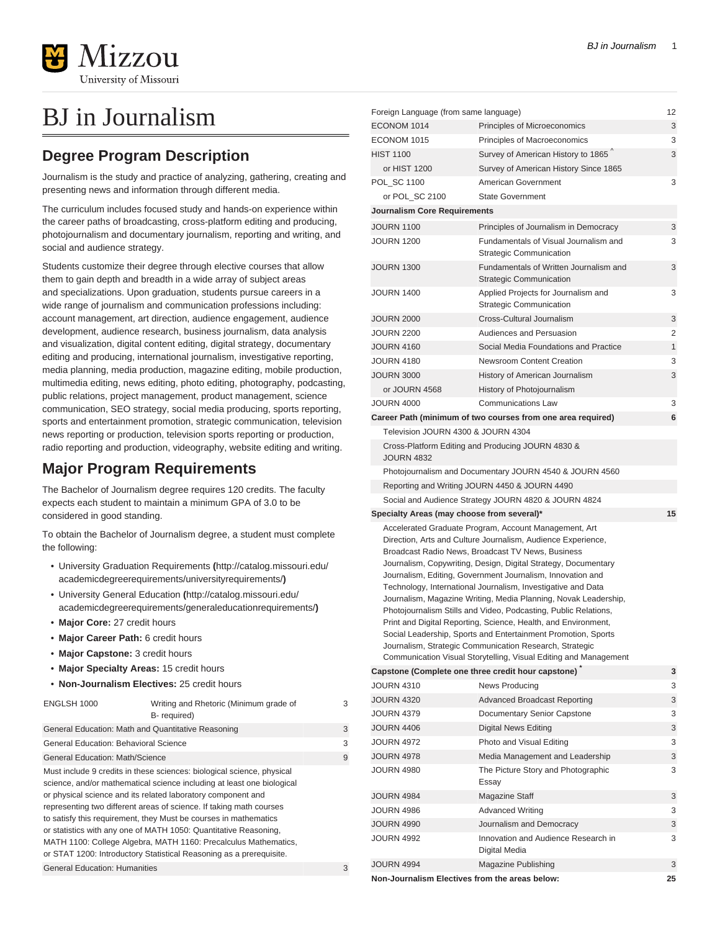

# BJ in Journalism

# **Degree Program Description**

Journalism is the study and practice of analyzing, gathering, creating and presenting news and information through different media.

The curriculum includes focused study and hands-on experience within the career paths of broadcasting, cross-platform editing and producing, photojournalism and documentary journalism, reporting and writing, and social and audience strategy.

Students customize their degree through elective courses that allow them to gain depth and breadth in a wide array of subject areas and specializations. Upon graduation, students pursue careers in a wide range of journalism and communication professions including: account management, art direction, audience engagement, audience development, audience research, business journalism, data analysis and visualization, digital content editing, digital strategy, documentary editing and producing, international journalism, investigative reporting, media planning, media production, magazine editing, mobile production, multimedia editing, news editing, photo editing, photography, podcasting, public relations, project management, product management, science communication, SEO strategy, social media producing, sports reporting, sports and entertainment promotion, strategic communication, television news reporting or production, television sports reporting or production, radio reporting and production, videography, website editing and writing.

## **Major Program Requirements**

The Bachelor of Journalism degree requires 120 credits. The faculty expects each student to maintain a minimum GPA of 3.0 to be considered in good standing.

To obtain the Bachelor of Journalism degree, a student must complete the following:

- [University Graduation Requirements](http://catalog.missouri.edu/academicdegreerequirements/universityrequirements/) **(**[http://catalog.missouri.edu/](http://catalog.missouri.edu/academicdegreerequirements/universityrequirements/) [academicdegreerequirements/universityrequirements/](http://catalog.missouri.edu/academicdegreerequirements/universityrequirements/)**)**
- [University General Education](http://catalog.missouri.edu/academicdegreerequirements/generaleducationrequirements/) **(**[http://catalog.missouri.edu/](http://catalog.missouri.edu/academicdegreerequirements/generaleducationrequirements/) [academicdegreerequirements/generaleducationrequirements/](http://catalog.missouri.edu/academicdegreerequirements/generaleducationrequirements/)**)**
- **Major Core:** 27 credit hours
- **Major Career Path:** 6 credit hours
- **Major Capstone:** 3 credit hours
- **Major Specialty Areas:** 15 credit hours
- **Non-Journalism Electives:** 25 credit hours

| ENGLSH 1000                                                                                                                                                                                                                                                                                                                                                                                                                                                                                                                                                               | Writing and Rhetoric (Minimum grade of<br>B-required) | 3 |  |  |
|---------------------------------------------------------------------------------------------------------------------------------------------------------------------------------------------------------------------------------------------------------------------------------------------------------------------------------------------------------------------------------------------------------------------------------------------------------------------------------------------------------------------------------------------------------------------------|-------------------------------------------------------|---|--|--|
| General Education: Math and Quantitative Reasoning                                                                                                                                                                                                                                                                                                                                                                                                                                                                                                                        |                                                       | 3 |  |  |
| General Education: Behavioral Science                                                                                                                                                                                                                                                                                                                                                                                                                                                                                                                                     |                                                       | 3 |  |  |
| General Education: Math/Science                                                                                                                                                                                                                                                                                                                                                                                                                                                                                                                                           |                                                       | 9 |  |  |
| Must include 9 credits in these sciences: biological science, physical<br>science, and/or mathematical science including at least one biological<br>or physical science and its related laboratory component and<br>representing two different areas of science. If taking math courses<br>to satisfy this requirement, they Must be courses in mathematics<br>or statistics with any one of MATH 1050: Quantitative Reasoning,<br>MATH 1100: College Algebra, MATH 1160: Precalculus Mathematics,<br>or STAT 1200: Introductory Statistical Reasoning as a prerequisite. |                                                       |   |  |  |
| <b>General Education: Humanities</b>                                                                                                                                                                                                                                                                                                                                                                                                                                                                                                                                      |                                                       | 3 |  |  |

| Foreign Language (from same language)      |                                                                                                                                                                                                                                                                                                                                                                                                                                                                                                                                                                                                                                                                                                                                                                                    | 12 |
|--------------------------------------------|------------------------------------------------------------------------------------------------------------------------------------------------------------------------------------------------------------------------------------------------------------------------------------------------------------------------------------------------------------------------------------------------------------------------------------------------------------------------------------------------------------------------------------------------------------------------------------------------------------------------------------------------------------------------------------------------------------------------------------------------------------------------------------|----|
| ECONOM 1014                                | Principles of Microeconomics                                                                                                                                                                                                                                                                                                                                                                                                                                                                                                                                                                                                                                                                                                                                                       | 3  |
| ECONOM 1015                                | Principles of Macroeconomics                                                                                                                                                                                                                                                                                                                                                                                                                                                                                                                                                                                                                                                                                                                                                       | 3  |
| HIST 1100                                  | Survey of American History to 1865                                                                                                                                                                                                                                                                                                                                                                                                                                                                                                                                                                                                                                                                                                                                                 | 3  |
| or HIST 1200                               | Survey of American History Since 1865                                                                                                                                                                                                                                                                                                                                                                                                                                                                                                                                                                                                                                                                                                                                              |    |
| POL_SC 1100                                | American Government                                                                                                                                                                                                                                                                                                                                                                                                                                                                                                                                                                                                                                                                                                                                                                | 3  |
| or POL_SC 2100                             | <b>State Government</b>                                                                                                                                                                                                                                                                                                                                                                                                                                                                                                                                                                                                                                                                                                                                                            |    |
| Journalism Core Requirements               |                                                                                                                                                                                                                                                                                                                                                                                                                                                                                                                                                                                                                                                                                                                                                                                    |    |
| <b>JOURN 1100</b>                          | Principles of Journalism in Democracy                                                                                                                                                                                                                                                                                                                                                                                                                                                                                                                                                                                                                                                                                                                                              | 3  |
| <b>JOURN 1200</b>                          | Fundamentals of Visual Journalism and<br><b>Strategic Communication</b>                                                                                                                                                                                                                                                                                                                                                                                                                                                                                                                                                                                                                                                                                                            | 3  |
| <b>JOURN 1300</b>                          | Fundamentals of Written Journalism and<br><b>Strategic Communication</b>                                                                                                                                                                                                                                                                                                                                                                                                                                                                                                                                                                                                                                                                                                           | 3  |
| <b>JOURN 1400</b>                          | Applied Projects for Journalism and<br><b>Strategic Communication</b>                                                                                                                                                                                                                                                                                                                                                                                                                                                                                                                                                                                                                                                                                                              | 3  |
| <b>JOURN 2000</b>                          | Cross-Cultural Journalism                                                                                                                                                                                                                                                                                                                                                                                                                                                                                                                                                                                                                                                                                                                                                          | 3  |
| <b>JOURN 2200</b>                          | Audiences and Persuasion                                                                                                                                                                                                                                                                                                                                                                                                                                                                                                                                                                                                                                                                                                                                                           | 2  |
| <b>JOURN 4160</b>                          | Social Media Foundations and Practice                                                                                                                                                                                                                                                                                                                                                                                                                                                                                                                                                                                                                                                                                                                                              | 1  |
| <b>JOURN 4180</b>                          | <b>Newsroom Content Creation</b>                                                                                                                                                                                                                                                                                                                                                                                                                                                                                                                                                                                                                                                                                                                                                   | 3  |
| <b>JOURN 3000</b>                          | History of American Journalism                                                                                                                                                                                                                                                                                                                                                                                                                                                                                                                                                                                                                                                                                                                                                     | 3  |
| or JOURN 4568                              | History of Photojournalism                                                                                                                                                                                                                                                                                                                                                                                                                                                                                                                                                                                                                                                                                                                                                         |    |
| <b>JOURN 4000</b>                          | Communications Law                                                                                                                                                                                                                                                                                                                                                                                                                                                                                                                                                                                                                                                                                                                                                                 | 3  |
|                                            | Career Path (minimum of two courses from one area required)                                                                                                                                                                                                                                                                                                                                                                                                                                                                                                                                                                                                                                                                                                                        | 6  |
| Television JOURN 4300 & JOURN 4304         |                                                                                                                                                                                                                                                                                                                                                                                                                                                                                                                                                                                                                                                                                                                                                                                    |    |
| <b>JOURN 4832</b>                          | Cross-Platform Editing and Producing JOURN 4830 &                                                                                                                                                                                                                                                                                                                                                                                                                                                                                                                                                                                                                                                                                                                                  |    |
|                                            | Photojournalism and Documentary JOURN 4540 & JOURN 4560                                                                                                                                                                                                                                                                                                                                                                                                                                                                                                                                                                                                                                                                                                                            |    |
|                                            | Reporting and Writing JOURN 4450 & JOURN 4490                                                                                                                                                                                                                                                                                                                                                                                                                                                                                                                                                                                                                                                                                                                                      |    |
|                                            | Social and Audience Strategy JOURN 4820 & JOURN 4824                                                                                                                                                                                                                                                                                                                                                                                                                                                                                                                                                                                                                                                                                                                               |    |
| Specialty Areas (may choose from several)* |                                                                                                                                                                                                                                                                                                                                                                                                                                                                                                                                                                                                                                                                                                                                                                                    | 15 |
|                                            | Accelerated Graduate Program, Account Management, Art<br>Direction, Arts and Culture Journalism, Audience Experience,<br>Broadcast Radio News, Broadcast TV News, Business<br>Journalism, Copywriting, Design, Digital Strategy, Documentary<br>Journalism, Editing, Government Journalism, Innovation and<br>Technology, International Journalism, Investigative and Data<br>Journalism, Magazine Writing, Media Planning, Novak Leadership,<br>Photojournalism Stills and Video, Podcasting, Public Relations,<br>Print and Digital Reporting, Science, Health, and Environment,<br>Social Leadership, Sports and Entertainment Promotion, Sports<br>Journalism, Strategic Communication Research, Strategic<br>Communication Visual Storytelling, Visual Editing and Management |    |
|                                            | Capstone (Complete one three credit hour capstone)                                                                                                                                                                                                                                                                                                                                                                                                                                                                                                                                                                                                                                                                                                                                 | 3  |
| <b>JOURN 4310</b>                          | <b>News Producing</b>                                                                                                                                                                                                                                                                                                                                                                                                                                                                                                                                                                                                                                                                                                                                                              | 3  |
| <b>JOURN 4320</b>                          | Advanced Broadcast Reporting                                                                                                                                                                                                                                                                                                                                                                                                                                                                                                                                                                                                                                                                                                                                                       | 3  |
| <b>JOURN 4379</b>                          | Documentary Senior Capstone                                                                                                                                                                                                                                                                                                                                                                                                                                                                                                                                                                                                                                                                                                                                                        | 3  |
| <b>JOURN 4406</b>                          | <b>Digital News Editing</b>                                                                                                                                                                                                                                                                                                                                                                                                                                                                                                                                                                                                                                                                                                                                                        | 3  |
| JOURN 4972                                 | Photo and Visual Editing                                                                                                                                                                                                                                                                                                                                                                                                                                                                                                                                                                                                                                                                                                                                                           | 3  |
| <b>JOURN 4978</b>                          | Media Management and Leadership                                                                                                                                                                                                                                                                                                                                                                                                                                                                                                                                                                                                                                                                                                                                                    | 3  |
| <b>JOURN 4980</b>                          | The Picture Story and Photographic<br>Essay                                                                                                                                                                                                                                                                                                                                                                                                                                                                                                                                                                                                                                                                                                                                        | 3  |
| JOURN 4984                                 | Magazine Staff                                                                                                                                                                                                                                                                                                                                                                                                                                                                                                                                                                                                                                                                                                                                                                     | 3  |
| <b>JOURN 4986</b>                          | <b>Advanced Writing</b>                                                                                                                                                                                                                                                                                                                                                                                                                                                                                                                                                                                                                                                                                                                                                            | 3  |
| <b>JOURN 4990</b>                          | Journalism and Democracy                                                                                                                                                                                                                                                                                                                                                                                                                                                                                                                                                                                                                                                                                                                                                           | 3  |

**Non-Journalism Electives from the areas below: 25**

JOURN 4992 Innovation and Audience Research in Digital Media

JOURN 4994 Magazine Publishing 3

3